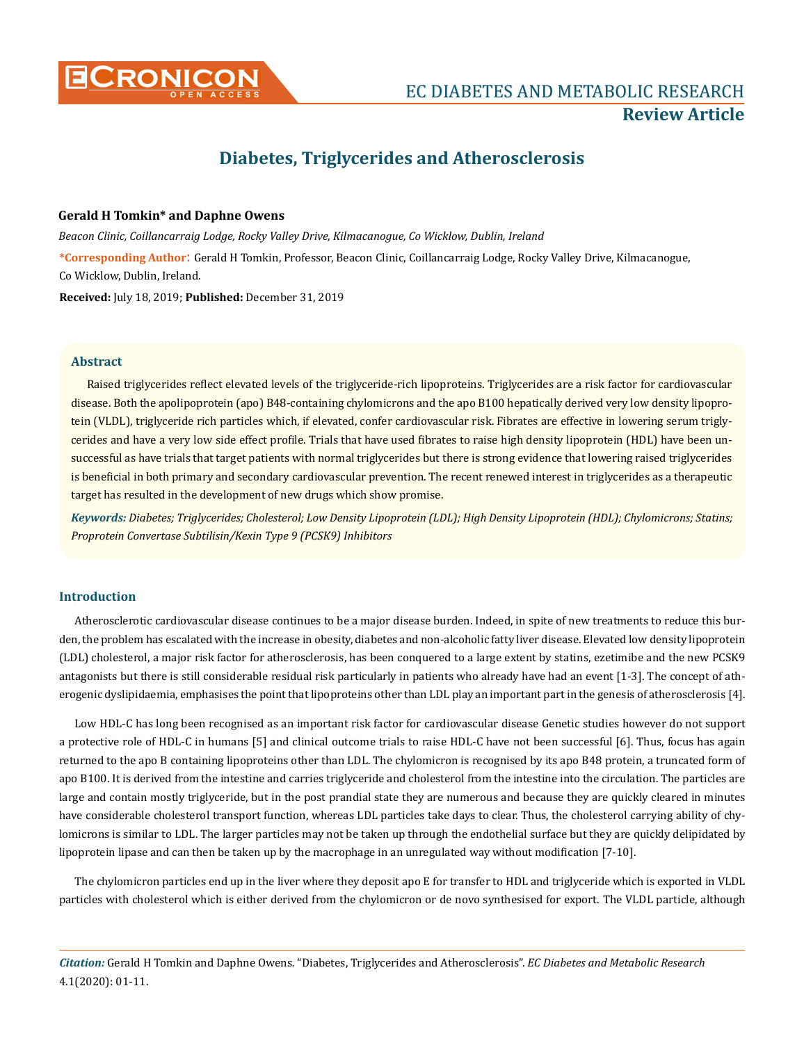

# **Diabetes, Triglycerides and Atherosclerosis**

# **Gerald H Tomkin\* and Daphne Owens**

*Beacon Clinic, Coillancarraig Lodge, Rocky Valley Drive, Kilmacanogue, Co Wicklow, Dublin, Ireland*

**\*Corresponding Author**: Gerald H Tomkin, Professor, Beacon Clinic, Coillancarraig Lodge, Rocky Valley Drive, Kilmacanogue, Co Wicklow, Dublin, Ireland.

**Received:** July 18, 2019; **Published:** December 31, 2019

# **Abstract**

Raised triglycerides reflect elevated levels of the triglyceride-rich lipoproteins. Triglycerides are a risk factor for cardiovascular disease. Both the apolipoprotein (apo) B48-containing chylomicrons and the apo B100 hepatically derived very low density lipoprotein (VLDL), triglyceride rich particles which, if elevated, confer cardiovascular risk. Fibrates are effective in lowering serum triglycerides and have a very low side effect profile. Trials that have used fibrates to raise high density lipoprotein (HDL) have been unsuccessful as have trials that target patients with normal triglycerides but there is strong evidence that lowering raised triglycerides is beneficial in both primary and secondary cardiovascular prevention. The recent renewed interest in triglycerides as a therapeutic target has resulted in the development of new drugs which show promise.

*Keywords: Diabetes; Triglycerides; Cholesterol; Low Density Lipoprotein (LDL); High Density Lipoprotein (HDL); Chylomicrons; Statins; Proprotein Convertase Subtilisin/Kexin Type 9 (PCSK9) Inhibitors*

# **Introduction**

Atherosclerotic cardiovascular disease continues to be a major disease burden. Indeed, in spite of new treatments to reduce this burden, the problem has escalated with the increase in obesity, diabetes and non-alcoholic fatty liver disease. Elevated low density lipoprotein (LDL) cholesterol, a major risk factor for atherosclerosis, has been conquered to a large extent by statins, ezetimibe and the new PCSK9 antagonists but there is still considerable residual risk particularly in patients who already have had an event [1-3]. The concept of atherogenic dyslipidaemia, emphasises the point that lipoproteins other than LDL play an important part in the genesis of atherosclerosis [4].

Low HDL-C has long been recognised as an important risk factor for cardiovascular disease Genetic studies however do not support a protective role of HDL-C in humans [5] and clinical outcome trials to raise HDL-C have not been successful [6]. Thus, focus has again returned to the apo B containing lipoproteins other than LDL. The chylomicron is recognised by its apo B48 protein, a truncated form of apo B100. It is derived from the intestine and carries triglyceride and cholesterol from the intestine into the circulation. The particles are large and contain mostly triglyceride, but in the post prandial state they are numerous and because they are quickly cleared in minutes have considerable cholesterol transport function, whereas LDL particles take days to clear. Thus, the cholesterol carrying ability of chylomicrons is similar to LDL. The larger particles may not be taken up through the endothelial surface but they are quickly delipidated by lipoprotein lipase and can then be taken up by the macrophage in an unregulated way without modification [7-10].

The chylomicron particles end up in the liver where they deposit apo E for transfer to HDL and triglyceride which is exported in VLDL particles with cholesterol which is either derived from the chylomicron or de novo synthesised for export. The VLDL particle, although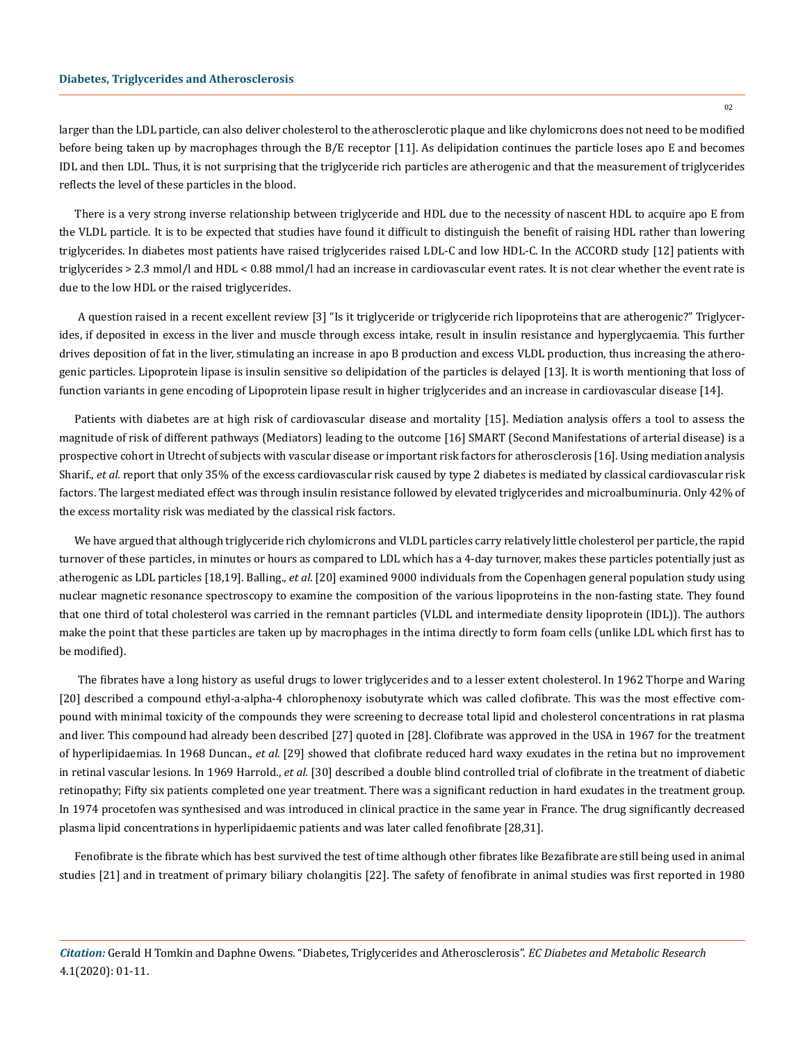larger than the LDL particle, can also deliver cholesterol to the atherosclerotic plaque and like chylomicrons does not need to be modified before being taken up by macrophages through the B/E receptor [11]. As delipidation continues the particle loses apo E and becomes IDL and then LDL. Thus, it is not surprising that the triglyceride rich particles are atherogenic and that the measurement of triglycerides reflects the level of these particles in the blood.

There is a very strong inverse relationship between triglyceride and HDL due to the necessity of nascent HDL to acquire apo E from the VLDL particle. It is to be expected that studies have found it difficult to distinguish the benefit of raising HDL rather than lowering triglycerides. In diabetes most patients have raised triglycerides raised LDL-C and low HDL-C. In the ACCORD study [12] patients with triglycerides > 2.3 mmol/l and HDL < 0.88 mmol/l had an increase in cardiovascular event rates. It is not clear whether the event rate is due to the low HDL or the raised triglycerides.

 A question raised in a recent excellent review [3] "Is it triglyceride or triglyceride rich lipoproteins that are atherogenic?" Triglycerides, if deposited in excess in the liver and muscle through excess intake, result in insulin resistance and hyperglycaemia. This further drives deposition of fat in the liver, stimulating an increase in apo B production and excess VLDL production, thus increasing the atherogenic particles. Lipoprotein lipase is insulin sensitive so delipidation of the particles is delayed [13]. It is worth mentioning that loss of function variants in gene encoding of Lipoprotein lipase result in higher triglycerides and an increase in cardiovascular disease [14].

Patients with diabetes are at high risk of cardiovascular disease and mortality [15]. Mediation analysis offers a tool to assess the magnitude of risk of different pathways (Mediators) leading to the outcome [16] SMART (Second Manifestations of arterial disease) is a prospective cohort in Utrecht of subjects with vascular disease or important risk factors for atherosclerosis [16]. Using mediation analysis Sharif., *et al.* report that only 35% of the excess cardiovascular risk caused by type 2 diabetes is mediated by classical cardiovascular risk factors. The largest mediated effect was through insulin resistance followed by elevated triglycerides and microalbuminuria. Only 42% of the excess mortality risk was mediated by the classical risk factors.

We have argued that although triglyceride rich chylomicrons and VLDL particles carry relatively little cholesterol per particle, the rapid turnover of these particles, in minutes or hours as compared to LDL which has a 4-day turnover, makes these particles potentially just as atherogenic as LDL particles [18,19]. Balling., *et al*. [20] examined 9000 individuals from the Copenhagen general population study using nuclear magnetic resonance spectroscopy to examine the composition of the various lipoproteins in the non-fasting state. They found that one third of total cholesterol was carried in the remnant particles (VLDL and intermediate density lipoprotein (IDL)). The authors make the point that these particles are taken up by macrophages in the intima directly to form foam cells (unlike LDL which first has to be modified).

 The fibrates have a long history as useful drugs to lower triglycerides and to a lesser extent cholesterol. In 1962 Thorpe and Waring [20] described a compound ethyl-a-alpha-4 chlorophenoxy isobutyrate which was called clofibrate. This was the most effective compound with minimal toxicity of the compounds they were screening to decrease total lipid and cholesterol concentrations in rat plasma and liver. This compound had already been described [27] quoted in [28]. Clofibrate was approved in the USA in 1967 for the treatment of hyperlipidaemias. In 1968 Duncan., *et al.* [29] showed that clofibrate reduced hard waxy exudates in the retina but no improvement in retinal vascular lesions. In 1969 Harrold., *et al.* [30] described a double blind controlled trial of clofibrate in the treatment of diabetic retinopathy; Fifty six patients completed one year treatment. There was a significant reduction in hard exudates in the treatment group. In 1974 procetofen was synthesised and was introduced in clinical practice in the same year in France. The drug significantly decreased plasma lipid concentrations in hyperlipidaemic patients and was later called fenofibrate [28,31].

Fenofibrate is the fibrate which has best survived the test of time although other fibrates like Bezafibrate are still being used in animal studies [21] and in treatment of primary biliary cholangitis [22]. The safety of fenofibrate in animal studies was first reported in 1980

*Citation:* Gerald H Tomkin and Daphne Owens*.* "Diabetes, Triglycerides and Atherosclerosis". *EC Diabetes and Metabolic Research* 4.1(2020): 01-11.

02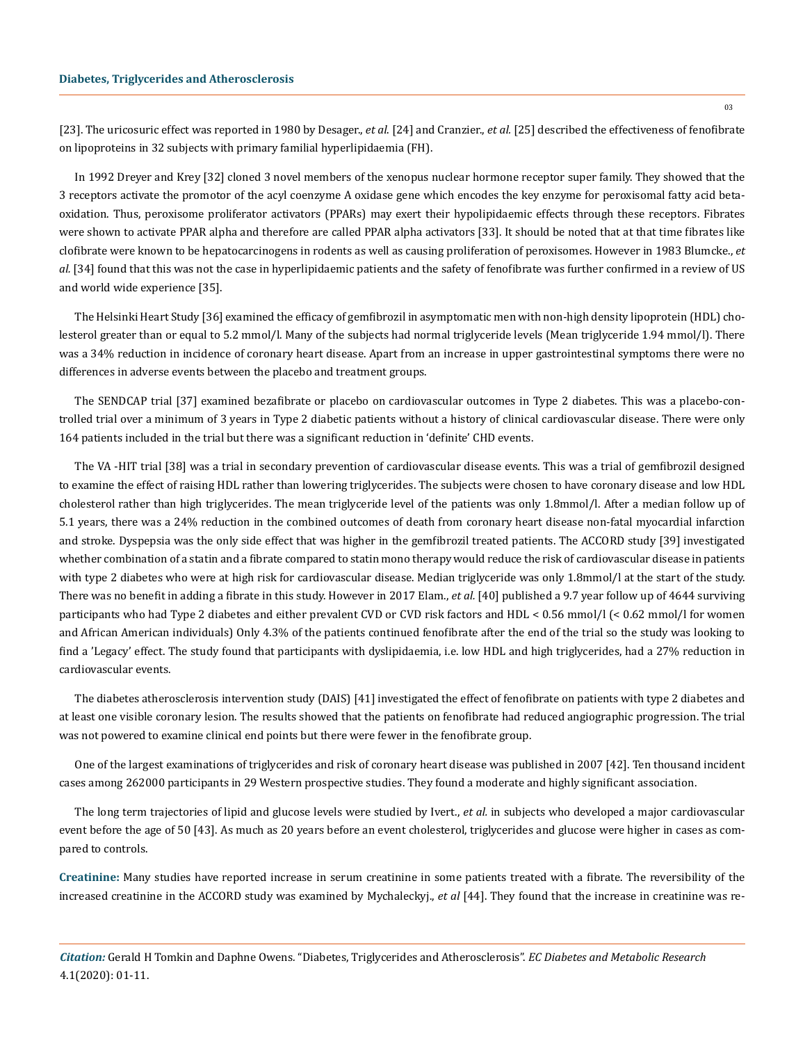[23]. The uricosuric effect was reported in 1980 by Desager., *et al*. [24] and Cranzier., *et al.* [25] described the effectiveness of fenofibrate on lipoproteins in 32 subjects with primary familial hyperlipidaemia (FH).

In 1992 Dreyer and Krey [32] cloned 3 novel members of the xenopus nuclear hormone receptor super family. They showed that the 3 receptors activate the promotor of the acyl coenzyme A oxidase gene which encodes the key enzyme for peroxisomal fatty acid betaoxidation. Thus, peroxisome proliferator activators (PPARs) may exert their hypolipidaemic effects through these receptors. Fibrates were shown to activate PPAR alpha and therefore are called PPAR alpha activators [33]. It should be noted that at that time fibrates like clofibrate were known to be hepatocarcinogens in rodents as well as causing proliferation of peroxisomes. However in 1983 Blumcke., *et al.* [34] found that this was not the case in hyperlipidaemic patients and the safety of fenofibrate was further confirmed in a review of US and world wide experience [35].

The Helsinki Heart Study [36] examined the efficacy of gemfibrozil in asymptomatic men with non-high density lipoprotein (HDL) cholesterol greater than or equal to 5.2 mmol/l. Many of the subjects had normal triglyceride levels (Mean triglyceride 1.94 mmol/l). There was a 34% reduction in incidence of coronary heart disease. Apart from an increase in upper gastrointestinal symptoms there were no differences in adverse events between the placebo and treatment groups.

The SENDCAP trial [37] examined bezafibrate or placebo on cardiovascular outcomes in Type 2 diabetes. This was a placebo-controlled trial over a minimum of 3 years in Type 2 diabetic patients without a history of clinical cardiovascular disease. There were only 164 patients included in the trial but there was a significant reduction in 'definite' CHD events.

The VA -HIT trial [38] was a trial in secondary prevention of cardiovascular disease events. This was a trial of gemfibrozil designed to examine the effect of raising HDL rather than lowering triglycerides. The subjects were chosen to have coronary disease and low HDL cholesterol rather than high triglycerides. The mean triglyceride level of the patients was only 1.8mmol/l. After a median follow up of 5.1 years, there was a 24% reduction in the combined outcomes of death from coronary heart disease non-fatal myocardial infarction and stroke. Dyspepsia was the only side effect that was higher in the gemfibrozil treated patients. The ACCORD study [39] investigated whether combination of a statin and a fibrate compared to statin mono therapy would reduce the risk of cardiovascular disease in patients with type 2 diabetes who were at high risk for cardiovascular disease. Median triglyceride was only 1.8mmol/l at the start of the study. There was no benefit in adding a fibrate in this study. However in 2017 Elam., *et al.* [40] published a 9.7 year follow up of 4644 surviving participants who had Type 2 diabetes and either prevalent CVD or CVD risk factors and HDL < 0.56 mmol/l (< 0.62 mmol/l for women and African American individuals) Only 4.3% of the patients continued fenofibrate after the end of the trial so the study was looking to find a 'Legacy' effect. The study found that participants with dyslipidaemia, i.e. low HDL and high triglycerides, had a 27% reduction in cardiovascular events.

The diabetes atherosclerosis intervention study (DAIS) [41] investigated the effect of fenofibrate on patients with type 2 diabetes and at least one visible coronary lesion. The results showed that the patients on fenofibrate had reduced angiographic progression. The trial was not powered to examine clinical end points but there were fewer in the fenofibrate group.

One of the largest examinations of triglycerides and risk of coronary heart disease was published in 2007 [42]. Ten thousand incident cases among 262000 participants in 29 Western prospective studies. They found a moderate and highly significant association.

The long term trajectories of lipid and glucose levels were studied by Ivert., *et al.* in subjects who developed a major cardiovascular event before the age of 50 [43]. As much as 20 years before an event cholesterol, triglycerides and glucose were higher in cases as compared to controls.

**Creatinine:** Many studies have reported increase in serum creatinine in some patients treated with a fibrate. The reversibility of the increased creatinine in the ACCORD study was examined by Mychaleckyj., *et al* [44]. They found that the increase in creatinine was re-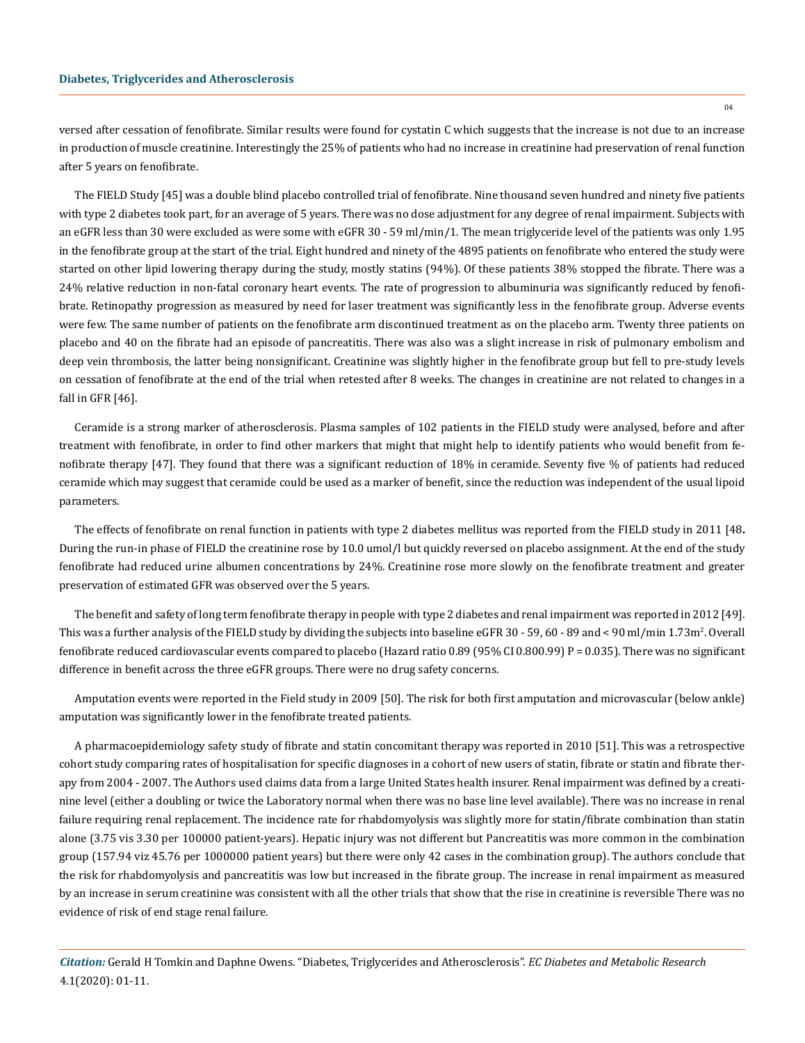versed after cessation of fenofibrate. Similar results were found for cystatin C which suggests that the increase is not due to an increase in production of muscle creatinine. Interestingly the 25% of patients who had no increase in creatinine had preservation of renal function after 5 years on fenofibrate.

The FIELD Study [45] was a double blind placebo controlled trial of fenofibrate. Nine thousand seven hundred and ninety five patients with type 2 diabetes took part, for an average of 5 years. There was no dose adjustment for any degree of renal impairment. Subjects with an eGFR less than 30 were excluded as were some with eGFR 30 - 59 ml/min/1. The mean triglyceride level of the patients was only 1.95 in the fenofibrate group at the start of the trial. Eight hundred and ninety of the 4895 patients on fenofibrate who entered the study were started on other lipid lowering therapy during the study, mostly statins (94%). Of these patients 38% stopped the fibrate. There was a 24% relative reduction in non-fatal coronary heart events. The rate of progression to albuminuria was significantly reduced by fenofibrate. Retinopathy progression as measured by need for laser treatment was significantly less in the fenofibrate group. Adverse events were few. The same number of patients on the fenofibrate arm discontinued treatment as on the placebo arm. Twenty three patients on placebo and 40 on the fibrate had an episode of pancreatitis. There was also was a slight increase in risk of pulmonary embolism and deep vein thrombosis, the latter being nonsignificant. Creatinine was slightly higher in the fenofibrate group but fell to pre-study levels on cessation of fenofibrate at the end of the trial when retested after 8 weeks. The changes in creatinine are not related to changes in a fall in GFR [46].

Ceramide is a strong marker of atherosclerosis. Plasma samples of 102 patients in the FIELD study were analysed, before and after treatment with fenofibrate, in order to find other markers that might that might help to identify patients who would benefit from fenofibrate therapy [47]. They found that there was a significant reduction of 18% in ceramide. Seventy five % of patients had reduced ceramide which may suggest that ceramide could be used as a marker of benefit, since the reduction was independent of the usual lipoid parameters.

The effects of fenofibrate on renal function in patients with type 2 diabetes mellitus was reported from the FIELD study in 2011 [48**.** During the run-in phase of FIELD the creatinine rose by 10.0 umol/l but quickly reversed on placebo assignment. At the end of the study fenofibrate had reduced urine albumen concentrations by 24%. Creatinine rose more slowly on the fenofibrate treatment and greater preservation of estimated GFR was observed over the 5 years.

The benefit and safety of long term fenofibrate therapy in people with type 2 diabetes and renal impairment was reported in 2012 [49]. This was a further analysis of the FIELD study by dividing the subjects into baseline eGFR 30 - 59, 60 - 89 and < 90 ml/min 1.73m<sup>2</sup>. Overall fenofibrate reduced cardiovascular events compared to placebo (Hazard ratio 0.89 (95% CI 0.800.99) P = 0.035). There was no significant difference in benefit across the three eGFR groups. There were no drug safety concerns.

Amputation events were reported in the Field study in 2009 [50]. The risk for both first amputation and microvascular (below ankle) amputation was significantly lower in the fenofibrate treated patients.

A pharmacoepidemiology safety study of fibrate and statin concomitant therapy was reported in 2010 [51]. This was a retrospective cohort study comparing rates of hospitalisation for specific diagnoses in a cohort of new users of statin, fibrate or statin and fibrate therapy from 2004 - 2007. The Authors used claims data from a large United States health insurer. Renal impairment was defined by a creatinine level (either a doubling or twice the Laboratory normal when there was no base line level available). There was no increase in renal failure requiring renal replacement. The incidence rate for rhabdomyolysis was slightly more for statin/fibrate combination than statin alone (3.75 vis 3.30 per 100000 patient-years). Hepatic injury was not different but Pancreatitis was more common in the combination group (157.94 viz 45.76 per 1000000 patient years) but there were only 42 cases in the combination group). The authors conclude that the risk for rhabdomyolysis and pancreatitis was low but increased in the fibrate group. The increase in renal impairment as measured by an increase in serum creatinine was consistent with all the other trials that show that the rise in creatinine is reversible There was no evidence of risk of end stage renal failure.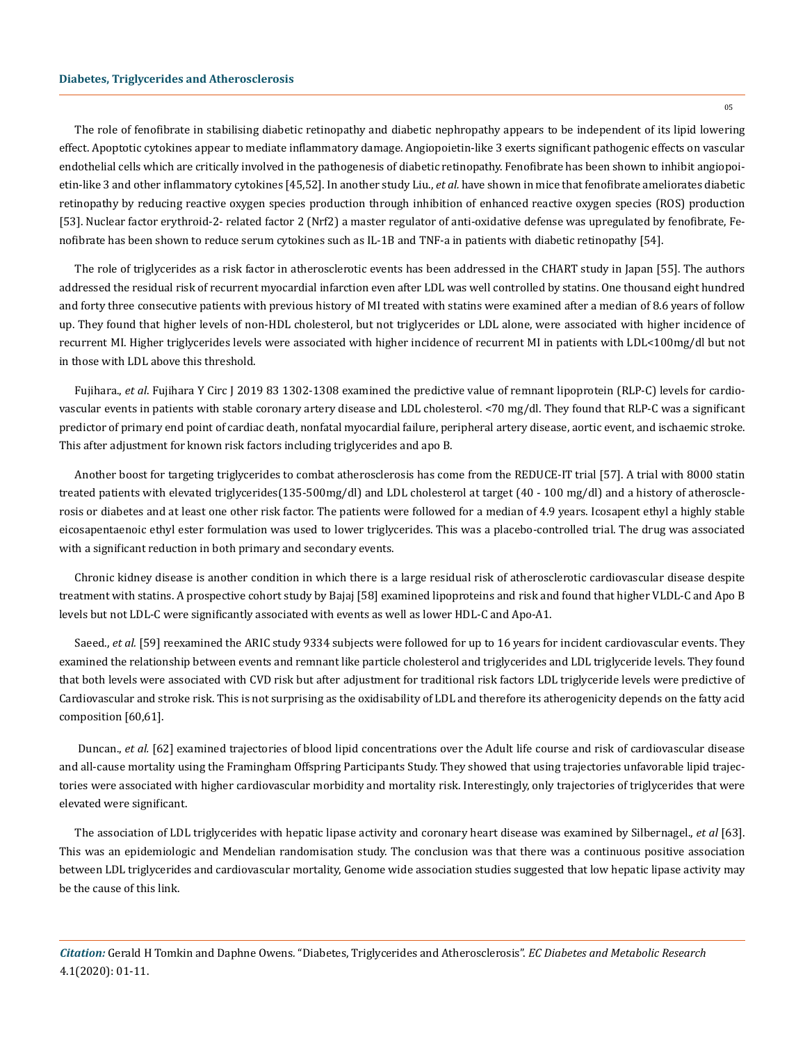#### **Diabetes, Triglycerides and Atherosclerosis**

The role of fenofibrate in stabilising diabetic retinopathy and diabetic nephropathy appears to be independent of its lipid lowering effect. Apoptotic cytokines appear to mediate inflammatory damage. Angiopoietin-like 3 exerts significant pathogenic effects on vascular endothelial cells which are critically involved in the pathogenesis of diabetic retinopathy. Fenofibrate has been shown to inhibit angiopoietin-like 3 and other inflammatory cytokines [45,52]. In another study Liu., *et al.* have shown in mice that fenofibrate ameliorates diabetic retinopathy by reducing reactive oxygen species production through inhibition of enhanced reactive oxygen species (ROS) production [53]. Nuclear factor erythroid-2- related factor 2 (Nrf2) a master regulator of anti-oxidative defense was upregulated by fenofibrate, Fenofibrate has been shown to reduce serum cytokines such as IL-1B and TNF-a in patients with diabetic retinopathy [54].

The role of triglycerides as a risk factor in atherosclerotic events has been addressed in the CHART study in Japan [55]. The authors addressed the residual risk of recurrent myocardial infarction even after LDL was well controlled by statins. One thousand eight hundred and forty three consecutive patients with previous history of MI treated with statins were examined after a median of 8.6 years of follow up. They found that higher levels of non-HDL cholesterol, but not triglycerides or LDL alone, were associated with higher incidence of recurrent MI. Higher triglycerides levels were associated with higher incidence of recurrent MI in patients with LDL<100mg/dl but not in those with LDL above this threshold.

Fujihara., *et al*. Fujihara Y Circ J 2019 83 1302-1308 examined the predictive value of remnant lipoprotein (RLP-C) levels for cardiovascular events in patients with stable coronary artery disease and LDL cholesterol. <70 mg/dl. They found that RLP-C was a significant predictor of primary end point of cardiac death, nonfatal myocardial failure, peripheral artery disease, aortic event, and ischaemic stroke. This after adjustment for known risk factors including triglycerides and apo B.

Another boost for targeting triglycerides to combat atherosclerosis has come from the REDUCE-IT trial [57]. A trial with 8000 statin treated patients with elevated triglycerides(135-500mg/dl) and LDL cholesterol at target (40 - 100 mg/dl) and a history of atherosclerosis or diabetes and at least one other risk factor. The patients were followed for a median of 4.9 years. Icosapent ethyl a highly stable eicosapentaenoic ethyl ester formulation was used to lower triglycerides. This was a placebo-controlled trial. The drug was associated with a significant reduction in both primary and secondary events.

Chronic kidney disease is another condition in which there is a large residual risk of atherosclerotic cardiovascular disease despite treatment with statins. A prospective cohort study by Bajaj [58] examined lipoproteins and risk and found that higher VLDL-C and Apo B levels but not LDL-C were significantly associated with events as well as lower HDL-C and Apo-A1.

Saeed., *et al.* [59] reexamined the ARIC study 9334 subjects were followed for up to 16 years for incident cardiovascular events. They examined the relationship between events and remnant like particle cholesterol and triglycerides and LDL triglyceride levels. They found that both levels were associated with CVD risk but after adjustment for traditional risk factors LDL triglyceride levels were predictive of Cardiovascular and stroke risk. This is not surprising as the oxidisability of LDL and therefore its atherogenicity depends on the fatty acid composition [60,61].

Duncan., *et al.* [62] examined trajectories of blood lipid concentrations over the Adult life course and risk of cardiovascular disease and all-cause mortality using the Framingham Offspring Participants Study. They showed that using trajectories unfavorable lipid trajectories were associated with higher cardiovascular morbidity and mortality risk. Interestingly, only trajectories of triglycerides that were elevated were significant.

The association of LDL triglycerides with hepatic lipase activity and coronary heart disease was examined by Silbernagel., *et al* [63]. This was an epidemiologic and Mendelian randomisation study. The conclusion was that there was a continuous positive association between LDL triglycerides and cardiovascular mortality, Genome wide association studies suggested that low hepatic lipase activity may be the cause of this link.

*Citation:* Gerald H Tomkin and Daphne Owens*.* "Diabetes, Triglycerides and Atherosclerosis". *EC Diabetes and Metabolic Research* 4.1(2020): 01-11.

05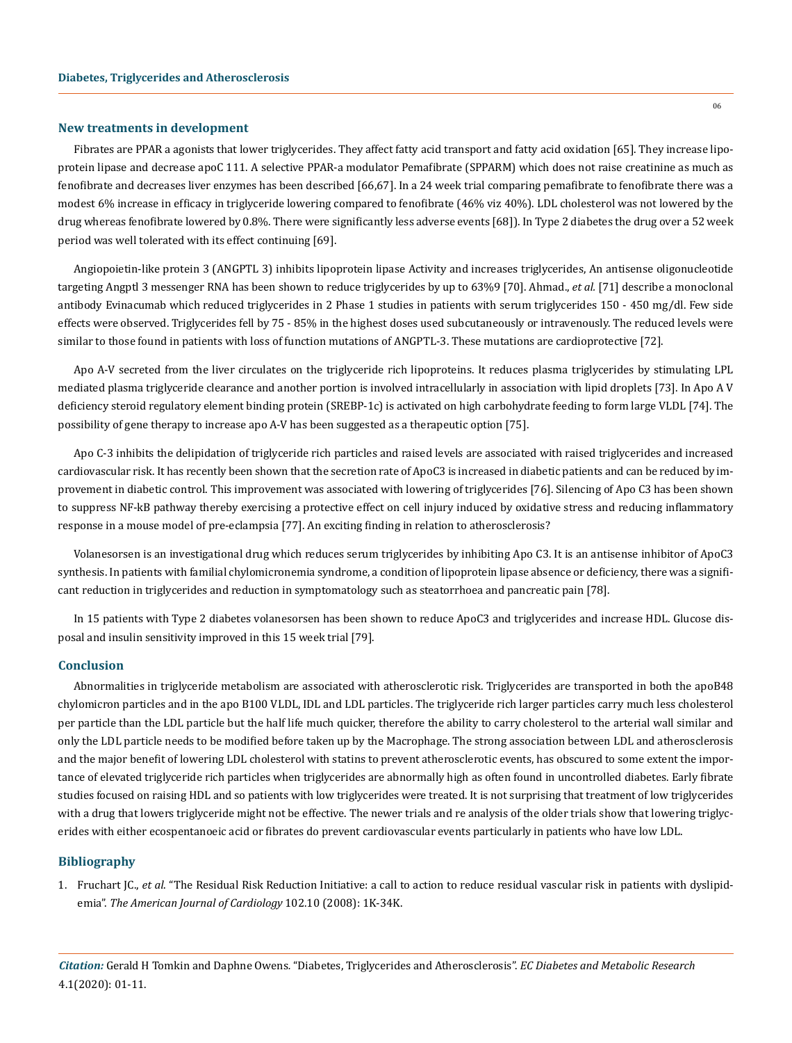#### **New treatments in development**

06

Fibrates are PPAR a agonists that lower triglycerides. They affect fatty acid transport and fatty acid oxidation [65]. They increase lipoprotein lipase and decrease apoC 111. A selective PPAR-a modulator Pemafibrate (SPPARM) which does not raise creatinine as much as fenofibrate and decreases liver enzymes has been described [66,67]. In a 24 week trial comparing pemafibrate to fenofibrate there was a modest 6% increase in efficacy in triglyceride lowering compared to fenofibrate (46% viz 40%). LDL cholesterol was not lowered by the drug whereas fenofibrate lowered by 0.8%. There were significantly less adverse events [68]). In Type 2 diabetes the drug over a 52 week period was well tolerated with its effect continuing [69].

Angiopoietin-like protein 3 (ANGPTL 3) inhibits lipoprotein lipase Activity and increases triglycerides, An antisense oligonucleotide targeting Angptl 3 messenger RNA has been shown to reduce triglycerides by up to 63%9 [70]. Ahmad., *et al.* [71] describe a monoclonal antibody Evinacumab which reduced triglycerides in 2 Phase 1 studies in patients with serum triglycerides 150 - 450 mg/dl. Few side effects were observed. Triglycerides fell by 75 - 85% in the highest doses used subcutaneously or intravenously. The reduced levels were similar to those found in patients with loss of function mutations of ANGPTL-3. These mutations are cardioprotective [72].

Apo A-V secreted from the liver circulates on the triglyceride rich lipoproteins. It reduces plasma triglycerides by stimulating LPL mediated plasma triglyceride clearance and another portion is involved intracellularly in association with lipid droplets [73]. In Apo A V deficiency steroid regulatory element binding protein (SREBP-1c) is activated on high carbohydrate feeding to form large VLDL [74]. The possibility of gene therapy to increase apo A-V has been suggested as a therapeutic option [75].

Apo C-3 inhibits the delipidation of triglyceride rich particles and raised levels are associated with raised triglycerides and increased cardiovascular risk. It has recently been shown that the secretion rate of ApoC3 is increased in diabetic patients and can be reduced by improvement in diabetic control. This improvement was associated with lowering of triglycerides [76]. Silencing of Apo C3 has been shown to suppress NF-kB pathway thereby exercising a protective effect on cell injury induced by oxidative stress and reducing inflammatory response in a mouse model of pre-eclampsia [77]. An exciting finding in relation to atherosclerosis?

Volanesorsen is an investigational drug which reduces serum triglycerides by inhibiting Apo C3. It is an antisense inhibitor of ApoC3 synthesis. In patients with familial chylomicronemia syndrome, a condition of lipoprotein lipase absence or deficiency, there was a significant reduction in triglycerides and reduction in symptomatology such as steatorrhoea and pancreatic pain [78].

In 15 patients with Type 2 diabetes volanesorsen has been shown to reduce ApoC3 and triglycerides and increase HDL. Glucose disposal and insulin sensitivity improved in this 15 week trial [79].

## **Conclusion**

Abnormalities in triglyceride metabolism are associated with atherosclerotic risk. Triglycerides are transported in both the apoB48 chylomicron particles and in the apo B100 VLDL, IDL and LDL particles. The triglyceride rich larger particles carry much less cholesterol per particle than the LDL particle but the half life much quicker, therefore the ability to carry cholesterol to the arterial wall similar and only the LDL particle needs to be modified before taken up by the Macrophage. The strong association between LDL and atherosclerosis and the major benefit of lowering LDL cholesterol with statins to prevent atherosclerotic events, has obscured to some extent the importance of elevated triglyceride rich particles when triglycerides are abnormally high as often found in uncontrolled diabetes. Early fibrate studies focused on raising HDL and so patients with low triglycerides were treated. It is not surprising that treatment of low triglycerides with a drug that lowers triglyceride might not be effective. The newer trials and re analysis of the older trials show that lowering triglycerides with either ecospentanoeic acid or fibrates do prevent cardiovascular events particularly in patients who have low LDL.

## **Bibliography**

1. Fruchart JC., *et al*[. "The Residual Risk Reduction Initiative: a call to action to reduce residual vascular risk in patients with dyslipid](https://www.ncbi.nlm.nih.gov/pubmed/19068318)emia". *[The American Journal of Cardiology](https://www.ncbi.nlm.nih.gov/pubmed/19068318)* 102.10 (2008): 1K-34K.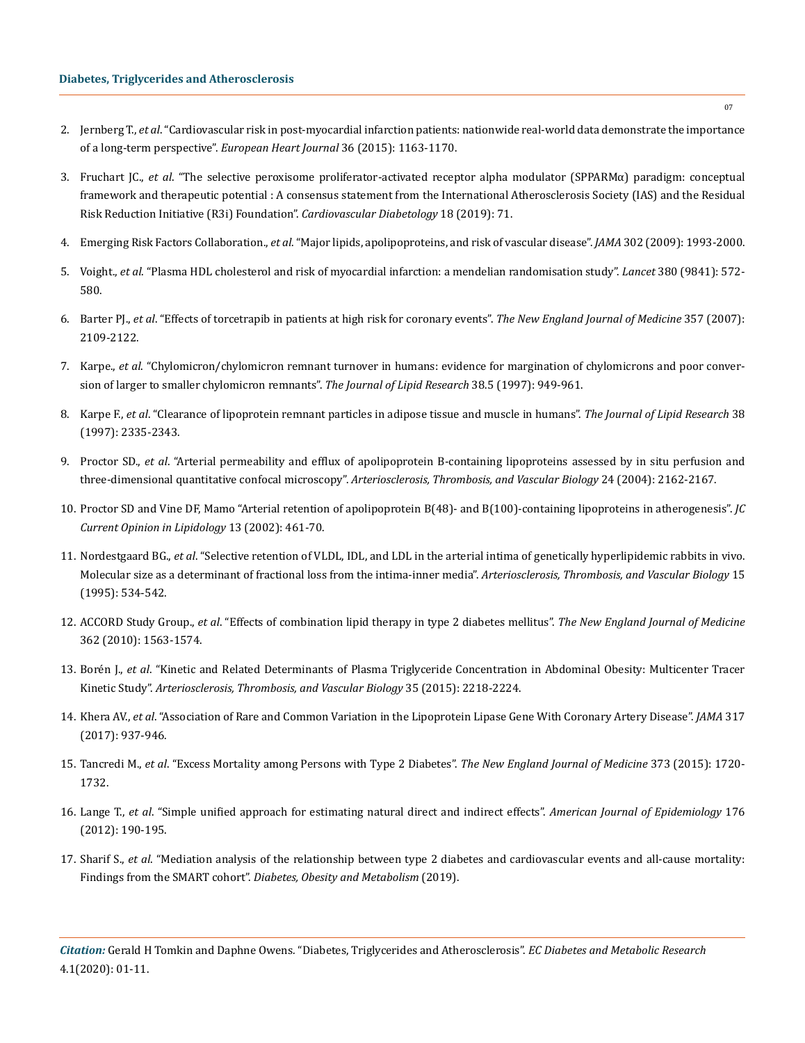- 2. Jernberg T., *et al*[. "Cardiovascular risk in post-myocardial infarction patients: nationwide real-world data demonstrate the importance](https://www.ncbi.nlm.nih.gov/pubmed/25586123)  [of a long-term perspective".](https://www.ncbi.nlm.nih.gov/pubmed/25586123) *European Heart Journal* 36 (2015): 1163-1170.
- 3. Fruchart JC., *et al*[. "The selective peroxisome proliferator-activated receptor alpha modulator \(SPPARMα\) paradigm: conceptual](https://www.ncbi.nlm.nih.gov/pubmed/31164165) [framework and therapeutic potential : A consensus statement from the International Atherosclerosis Society \(IAS\) and the Residual](https://www.ncbi.nlm.nih.gov/pubmed/31164165) [Risk Reduction Initiative \(R3i\) Foundation".](https://www.ncbi.nlm.nih.gov/pubmed/31164165) *Cardiovascular Diabetology* 18 (2019): 71.
- 4. Emerging Risk Factors Collaboration., *et al*[. "Major lipids, apolipoproteins, and risk of vascular disease".](https://www.ncbi.nlm.nih.gov/pubmed/19903920) *JAMA* 302 (2009): 1993-2000.
- 5. Voight., *et al*[. "Plasma HDL cholesterol and risk of myocardial infarction: a mendelian randomisation study".](https://www.ncbi.nlm.nih.gov/pubmed/22607825) *Lancet* 380 (9841): 572- [580.](https://www.ncbi.nlm.nih.gov/pubmed/22607825)
- 6. Barter PJ., *et al*[. "Effects of torcetrapib in patients at high risk for coronary events".](https://www.ncbi.nlm.nih.gov/pubmed/17984165) *The New England Journal of Medicine* 357 (2007): [2109-2122.](https://www.ncbi.nlm.nih.gov/pubmed/17984165)
- 7. Karpe., *et al*[. "Chylomicron/chylomicron remnant turnover in humans: evidence for margination of chylomicrons and poor conver](https://www.ncbi.nlm.nih.gov/pubmed/9186912)[sion of larger to smaller chylomicron remnants".](https://www.ncbi.nlm.nih.gov/pubmed/9186912) *The Journal of Lipid Research* 38.5 (1997): 949-961.
- 8. Karpe F., *et al*[. "Clearance of lipoprotein remnant particles in adipose tissue and muscle in humans".](https://www.ncbi.nlm.nih.gov/pubmed/9392431) *The Journal of Lipid Research* 38 [\(1997\): 2335-2343.](https://www.ncbi.nlm.nih.gov/pubmed/9392431)
- 9. Proctor SD., *et al*[. "Arterial permeability and efflux of apolipoprotein B-containing lipoproteins assessed by in situ perfusion and](https://www.ncbi.nlm.nih.gov/pubmed/15345509) three-dimensional quantitative confocal microscopy". *[Arteriosclerosis, Thrombosis, and Vascular Biology](https://www.ncbi.nlm.nih.gov/pubmed/15345509)* 24 (2004): 2162-2167.
- 10. [Proctor SD and Vine DF, Mamo "Arterial retention of apolipoprotein B\(48\)- and B\(100\)-containing lipoproteins in atherogenesis".](https://www.ncbi.nlm.nih.gov/pubmed/12352009) *JC [Current Opinion in Lipidology](https://www.ncbi.nlm.nih.gov/pubmed/12352009)* 13 (2002): 461-70.
- 11. Nordestgaard BG., *et al*[. "Selective retention of VLDL, IDL, and LDL in the arterial intima of genetically hyperlipidemic rabbits in vivo.](https://www.ncbi.nlm.nih.gov/pubmed/7749867) [Molecular size as a determinant of fractional loss from the intima-inner media".](https://www.ncbi.nlm.nih.gov/pubmed/7749867) *Arteriosclerosis, Thrombosis, and Vascular Biology* 15 [\(1995\): 534-542.](https://www.ncbi.nlm.nih.gov/pubmed/7749867)
- 12. ACCORD Study Group., *et al*[. "Effects of combination lipid therapy in type 2 diabetes mellitus".](https://www.nejm.org/doi/full/10.1056/NEJMoa1001282) *The New England Journal of Medicine* [362 \(2010\): 1563-1574.](https://www.nejm.org/doi/full/10.1056/NEJMoa1001282)
- 13. Borén J., *et al*[. "Kinetic and Related Determinants of Plasma Triglyceride Concentration in Abdominal Obesity: Multicenter Tracer](https://www.ncbi.nlm.nih.gov/pubmed/26315407) Kinetic Study". *[Arteriosclerosis, Thrombosis, and Vascular Biology](https://www.ncbi.nlm.nih.gov/pubmed/26315407)* 35 (2015): 2218-2224.
- 14. Khera AV., *et al*[. "Association of Rare and Common Variation in the Lipoprotein Lipase Gene With Coronary Artery Disease".](https://www.ncbi.nlm.nih.gov/pubmed/28267856) *JAMA* 317 [\(2017\): 937-946.](https://www.ncbi.nlm.nih.gov/pubmed/28267856)
- 15. Tancredi M., *et al*[. "Excess Mortality among Persons with Type 2 Diabetes".](https://www.nejm.org/doi/full/10.1056/NEJMoa1504347) *The New England Journal of Medicine* 373 (2015): 1720- [1732.](https://www.nejm.org/doi/full/10.1056/NEJMoa1504347)
- 16. Lange T., *et al*[. "Simple unified approach for estimating natural direct and indirect effects".](https://www.ncbi.nlm.nih.gov/pubmed/22781427) *American Journal of Epidemiology* 176 [\(2012\): 190-195.](https://www.ncbi.nlm.nih.gov/pubmed/22781427)
- 17. Sharif S., *et al*[. "Mediation analysis of the relationship between type 2 diabetes and cardiovascular events and all-cause mortality:](https://www.ncbi.nlm.nih.gov/pubmed/31062479) Findings from the SMART cohort". *[Diabetes, Obesity and Metabolism](https://www.ncbi.nlm.nih.gov/pubmed/31062479)* (2019).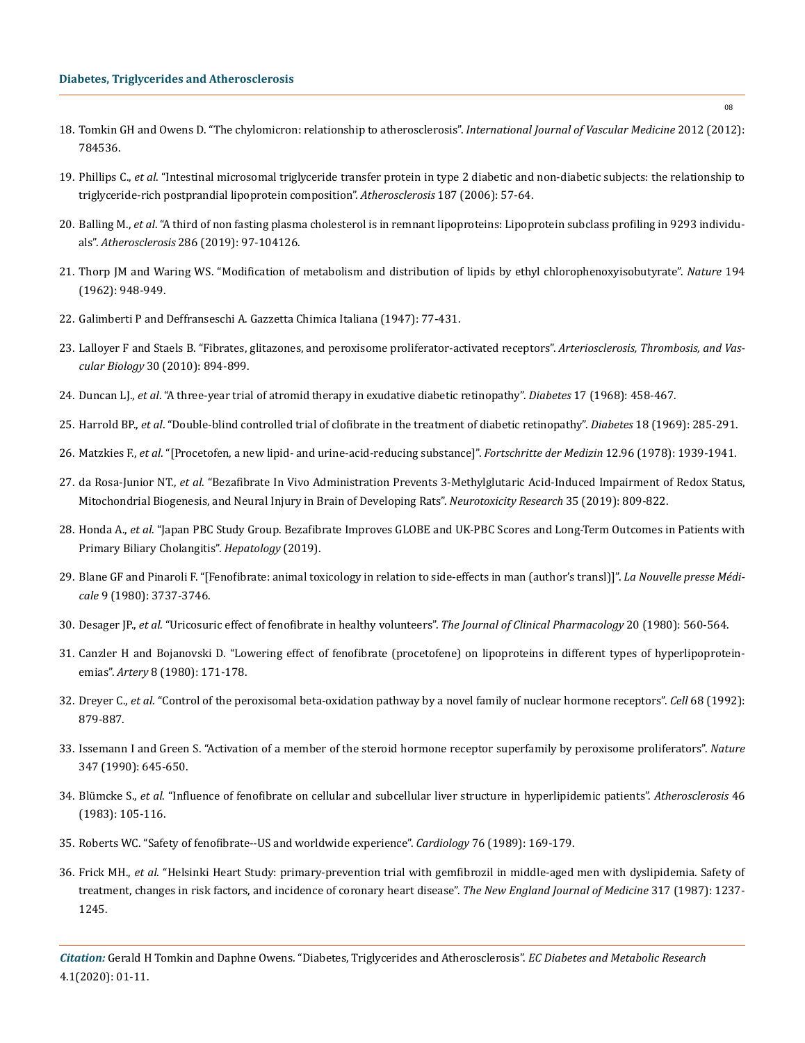- 18. [Tomkin GH and Owens D. "The chylomicron: relationship to atherosclerosis".](https://www.hindawi.com/journals/ijvm/2012/784536/) *International Journal of Vascular Medicine* 2012 (2012): [784536.](https://www.hindawi.com/journals/ijvm/2012/784536/)
- 19. Phillips C., *et al*[. "Intestinal microsomal triglyceride transfer protein in type 2 diabetic and non-diabetic subjects: the relationship to](https://www.ncbi.nlm.nih.gov/pubmed/16183064)  [triglyceride-rich postprandial lipoprotein composition".](https://www.ncbi.nlm.nih.gov/pubmed/16183064) *Atherosclerosis* 187 (2006): 57-64.
- 20. Balling M., *et al*[. "A third of non fasting plasma cholesterol is in remnant lipoproteins: Lipoprotein subclass profiling in 9293 individu](https://www.ncbi.nlm.nih.gov/pubmed/31108411)als". *Atherosclerosis* [286 \(2019\): 97-104126.](https://www.ncbi.nlm.nih.gov/pubmed/31108411)
- 21. [Thorp JM and Waring WS. "Modification of metabolism and distribution of lipids by ethyl chlorophenoxyisobutyrate".](https://www.nature.com/articles/194948a0) *Nature* 194 [\(1962\): 948-949.](https://www.nature.com/articles/194948a0)
- 22. Galimberti P and Deffranseschi A. Gazzetta Chimica Italiana (1947): 77-431.
- 23. [Lalloyer F and Staels B. "Fibrates, glitazones, and peroxisome proliferator-activated receptors".](https://www.ncbi.nlm.nih.gov/pubmed/20393155) *Arteriosclerosis, Thrombosis, and Vascular Biology* [30 \(2010\): 894-899.](https://www.ncbi.nlm.nih.gov/pubmed/20393155)
- 24. Duncan LJ., *et al*[. "A three-year trial of atromid therapy in exudative diabetic retinopathy".](https://www.ncbi.nlm.nih.gov/pubmed/4875170) *Diabetes* 17 (1968): 458-467.
- 25. Harrold BP., *et al*[. "Double-blind controlled trial of clofibrate in the treatment of diabetic retinopathy".](https://diabetes.diabetesjournals.org/content/18/5/285) *Diabetes* 18 (1969): 285-291.
- 26. Matzkies F., *et al*[. "\[Procetofen, a new lipid- and urine-acid-reducing substance\]".](https://www.ncbi.nlm.nih.gov/pubmed/700582) *Fortschritte der Medizin* 12.96 (1978): 1939-1941.
- 27. da Rosa-Junior NT., *et al*[. "Bezafibrate In Vivo Administration Prevents 3-Methylglutaric Acid-Induced Impairment of Redox Status,](https://www.ncbi.nlm.nih.gov/pubmed/30850947)  [Mitochondrial Biogenesis, and Neural Injury in Brain of Developing Rats".](https://www.ncbi.nlm.nih.gov/pubmed/30850947) *Neurotoxicity Research* 35 (2019): 809-822.
- 28. Honda A., *et al*[. "Japan PBC Study Group. Bezafibrate Improves GLOBE and UK-PBC Scores and Long-Term Outcomes in Patients with](https://www.ncbi.nlm.nih.gov/pubmed/30737815)  [Primary Biliary Cholangitis".](https://www.ncbi.nlm.nih.gov/pubmed/30737815) *Hepatology* (2019).
- 29. [Blane GF and Pinaroli F. "\[Fenofibrate: animal toxicology in relation to side-effects in man \(author's transl\)\]".](https://www.ncbi.nlm.nih.gov/pubmed/7208340) *La Nouvelle presse Médicale* [9 \(1980\): 3737-3746.](https://www.ncbi.nlm.nih.gov/pubmed/7208340)
- 30. Desager JP., *et al*[. "Uricosuric effect of fenofibrate in healthy volunteers".](https://www.ncbi.nlm.nih.gov/pubmed/7440763) *The Journal of Clinical Pharmacology* 20 (1980): 560-564.
- 31. [Canzler H and Bojanovski D. "Lowering effect of fenofibrate \(procetofene\) on lipoproteins in different types of hyperlipoprotein](https://www.ncbi.nlm.nih.gov/pubmed/7458684)emias". *Artery* [8 \(1980\): 171-178.](https://www.ncbi.nlm.nih.gov/pubmed/7458684)
- 32. Dreyer C., *et al*[. "Control of the peroxisomal beta-oxidation pathway by a novel family of nuclear hormone receptors".](https://www.ncbi.nlm.nih.gov/pubmed/1312391) *Cell* 68 (1992): [879-887.](https://www.ncbi.nlm.nih.gov/pubmed/1312391)
- 33. [Issemann I and Green S. "Activation of a member of the steroid hormone receptor superfamily by peroxisome proliferators".](https://www.researchgate.net/publication/21025579_Activation_of_a_Member_of_the_Steroid_Hormone_Receptor_Superfamily_by_Peroxisome_Proliferators) *Nature* [347 \(1990\): 645-650.](https://www.researchgate.net/publication/21025579_Activation_of_a_Member_of_the_Steroid_Hormone_Receptor_Superfamily_by_Peroxisome_Proliferators)
- 34. Blümcke S., *et al*[. "Influence of fenofibrate on cellular and subcellular liver structure in hyperlipidemic patients".](https://www.ncbi.nlm.nih.gov/pubmed/6838687) *Atherosclerosis* 46 [\(1983\): 105-116.](https://www.ncbi.nlm.nih.gov/pubmed/6838687)
- 35. [Roberts WC. "Safety of fenofibrate--US and worldwide experience".](https://www.ncbi.nlm.nih.gov/pubmed/2673510) *Cardiology* 76 (1989): 169-179.
- 36. Frick MH., *et al*[. "Helsinki Heart Study: primary-prevention trial with gemfibrozil in middle-aged men with dyslipidemia. Safety of](https://www.ncbi.nlm.nih.gov/pubmed/3313041) [treatment, changes in risk factors, and incidence of coronary heart disease".](https://www.ncbi.nlm.nih.gov/pubmed/3313041) *The New England Journal of Medicine* 317 (1987): 1237- [1245.](https://www.ncbi.nlm.nih.gov/pubmed/3313041)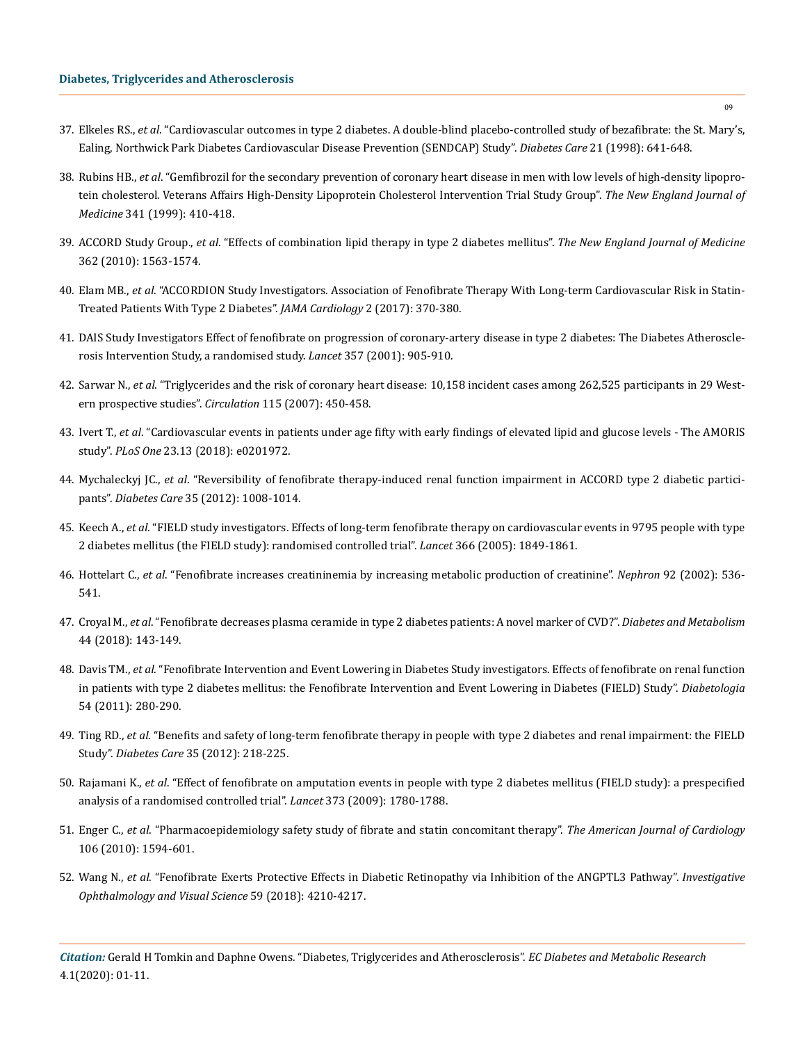- 37. Elkeles RS., *et al*[. "Cardiovascular outcomes in type 2 diabetes. A double-blind placebo-controlled study of bezafibrate: the St. Mary's,](https://care.diabetesjournals.org/content/21/4/641) [Ealing, Northwick Park Diabetes Cardiovascular Disease Prevention \(SENDCAP\) Study".](https://care.diabetesjournals.org/content/21/4/641) *Diabetes Care* 21 (1998): 641-648.
- 38. Rubins HB., *et al*[. "Gemfibrozil for the secondary prevention of coronary heart disease in men with low levels of high-density lipopro](https://www.ncbi.nlm.nih.gov/pubmed/10438259)[tein cholesterol. Veterans Affairs High-Density Lipoprotein Cholesterol Intervention Trial Study Group".](https://www.ncbi.nlm.nih.gov/pubmed/10438259) *The New England Journal of Medicine* [341 \(1999\): 410-418.](https://www.ncbi.nlm.nih.gov/pubmed/10438259)
- 39. ACCORD Study Group., *et al*[. "Effects of combination lipid therapy in type 2 diabetes mellitus".](https://www.nejm.org/doi/full/10.1056/NEJMoa1001282) *The New England Journal of Medicine* [362 \(2010\): 1563-1574.](https://www.nejm.org/doi/full/10.1056/NEJMoa1001282)
- 40. Elam MB., *et al*[. "ACCORDION Study Investigators. Association of Fenofibrate Therapy With Long-term Cardiovascular Risk in Statin-](https://jamanetwork.com/journals/jamacardiology/fullarticle/2594262)[Treated Patients With Type 2 Diabetes".](https://jamanetwork.com/journals/jamacardiology/fullarticle/2594262) *JAMA Cardiology* 2 (2017): 370-380.
- 41. [DAIS Study Investigators Effect of fenofibrate on progression of coronary-artery disease in type 2 diabetes: The Diabetes Atheroscle](https://www.ncbi.nlm.nih.gov/pubmed/9081851)[rosis Intervention Study, a randomised study.](https://www.ncbi.nlm.nih.gov/pubmed/9081851) *Lancet* 357 (2001): 905-910.
- 42. Sarwar N., *et al*[. "Triglycerides and the risk of coronary heart disease: 10,158 incident cases among 262,525 participants in 29 West](https://www.ahajournals.org/doi/full/10.1161/circulationaha.106.637793)[ern prospective studies".](https://www.ahajournals.org/doi/full/10.1161/circulationaha.106.637793) *Circulation* 115 (2007): 450-458.
- 43. Ivert T., *et al*[. "Cardiovascular events in patients under age fifty with early findings of elevated lipid and glucose levels The AMORIS](https://journals.plos.org/plosone/article?id=10.1371/journal.pone.0201972) study". *PLoS One* [23.13 \(2018\): e0201972.](https://journals.plos.org/plosone/article?id=10.1371/journal.pone.0201972)
- 44. Mychaleckyj JC., *et al*[. "Reversibility of fenofibrate therapy-induced renal function impairment in ACCORD type 2 diabetic partici](https://www.ncbi.nlm.nih.gov/pubmed/22432114)pants". *Diabetes Care* [35 \(2012\): 1008-1014.](https://www.ncbi.nlm.nih.gov/pubmed/22432114)
- 45. Keech A., *et al*[. "FIELD study investigators. Effects of long-term fenofibrate therapy on cardiovascular events in 9795 people with type](https://www.thelancet.com/journals/lancet/article/PIIS0140-6736(05)67667-2/fulltext) [2 diabetes mellitus \(the FIELD study\): randomised controlled trial".](https://www.thelancet.com/journals/lancet/article/PIIS0140-6736(05)67667-2/fulltext) *Lancet* 366 (2005): 1849-1861.
- 46. Hottelart C., *et al*[. "Fenofibrate increases creatininemia by increasing metabolic production of creatinine".](https://www.ncbi.nlm.nih.gov/pubmed/12372935) *Nephron* 92 (2002): 536- [541.](https://www.ncbi.nlm.nih.gov/pubmed/12372935)
- 47. Croyal M., *et al*[. "Fenofibrate decreases plasma ceramide in type 2 diabetes patients: A novel marker of CVD?".](https://www.ncbi.nlm.nih.gov/pubmed/28499696) *Diabetes and Metabolism*  [44 \(2018\): 143-149.](https://www.ncbi.nlm.nih.gov/pubmed/28499696)
- 48. Davis TM., *et al*[. "Fenofibrate Intervention and Event Lowering in Diabetes Study investigators. Effects of fenofibrate on renal function](https://link.springer.com/article/10.1007/s00125-010-1951-1) [in patients with type 2 diabetes mellitus: the Fenofibrate Intervention and Event Lowering in Diabetes \(FIELD\) Study".](https://link.springer.com/article/10.1007/s00125-010-1951-1) *Diabetologia* [54 \(2011\): 280-290.](https://link.springer.com/article/10.1007/s00125-010-1951-1)
- 49. Ting RD., *et al*[. "Benefits and safety of long-term fenofibrate therapy in people with type 2 diabetes and renal impairment: the FIELD](https://www.ncbi.nlm.nih.gov/pubmed/22210576) Study". *Diabetes Care* [35 \(2012\): 218-225.](https://www.ncbi.nlm.nih.gov/pubmed/22210576)
- 50. Rajamani K., *et al*[. "Effect of fenofibrate on amputation events in people with type 2 diabetes mellitus \(FIELD study\): a prespecified](https://www.ncbi.nlm.nih.gov/pubmed/19465233) [analysis of a randomised controlled trial".](https://www.ncbi.nlm.nih.gov/pubmed/19465233) *Lancet* 373 (2009): 1780-1788.
- 51. Enger C., *et al*[. "Pharmacoepidemiology safety study of fibrate and statin concomitant therapy".](https://www.ncbi.nlm.nih.gov/pubmed/21094360) *The American Journal of Cardiology* [106 \(2010\): 1594-601.](https://www.ncbi.nlm.nih.gov/pubmed/21094360)
- 52. Wang N., *et al*[. "Fenofibrate Exerts Protective Effects in Diabetic Retinopathy via Inhibition of the ANGPTL3 Pathway".](https://iovs.arvojournals.org/article.aspx?articleid=2697868) *Investigative [Ophthalmology and Visual Science](https://iovs.arvojournals.org/article.aspx?articleid=2697868)* 59 (2018): 4210-4217.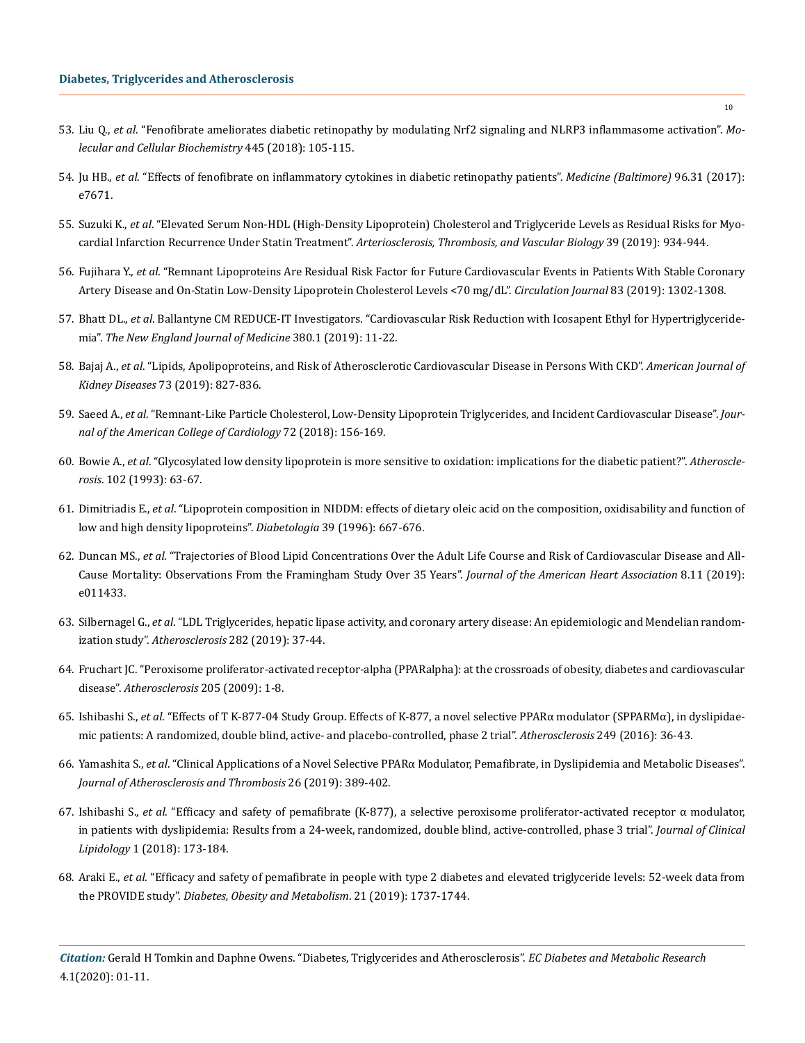- 53. Liu Q., *et al*[. "Fenofibrate ameliorates diabetic retinopathy by modulating Nrf2 signaling and NLRP3 inflammasome activation".](https://www.ncbi.nlm.nih.gov/pubmed/29264825) *Mo[lecular and Cellular Biochemistry](https://www.ncbi.nlm.nih.gov/pubmed/29264825)* 445 (2018): 105-115.
- 54. Ju HB., *et al*[. "Effects of fenofibrate on inflammatory cytokines in diabetic retinopathy patients".](https://www.ncbi.nlm.nih.gov/pubmed/28767589) *Medicine (Baltimore)* 96.31 (2017): [e7671.](https://www.ncbi.nlm.nih.gov/pubmed/28767589)
- 55. Suzuki K., *et al*[. "Elevated Serum Non-HDL \(High-Density Lipoprotein\) Cholesterol and Triglyceride Levels as Residual Risks for Myo](https://www.ncbi.nlm.nih.gov/pubmed/30866657)cardial Infarction Recurrence Under Statin Treatment". *[Arteriosclerosis, Thrombosis, and Vascular Biology](https://www.ncbi.nlm.nih.gov/pubmed/30866657)* 39 (2019): 934-944.
- 56. Fujihara Y., *et al*[. "Remnant Lipoproteins Are Residual Risk Factor for Future Cardiovascular Events in Patients With Stable Coronary](https://www.ncbi.nlm.nih.gov/pubmed/30996151)  [Artery Disease and On-Statin Low-Density Lipoprotein Cholesterol Levels <70 mg/dL".](https://www.ncbi.nlm.nih.gov/pubmed/30996151) *Circulation Journal* 83 (2019): 1302-1308.
- 57. Bhatt DL., *et al*[. Ballantyne CM REDUCE-IT Investigators. "Cardiovascular Risk Reduction with Icosapent Ethyl for Hypertriglyceride](https://www.nejm.org/doi/full/10.1056/NEJMoa1812792)mia". *[The New England Journal of Medicine](https://www.nejm.org/doi/full/10.1056/NEJMoa1812792)* 380.1 (2019): 11-22.
- 58. Bajaj A., *et al*[. "Lipids, Apolipoproteins, and Risk of Atherosclerotic Cardiovascular Disease in Persons With CKD".](https://www.ncbi.nlm.nih.gov/pubmed/30686529) *American Journal of Kidney Diseases* [73 \(2019\): 827-836.](https://www.ncbi.nlm.nih.gov/pubmed/30686529)
- 59. Saeed A., *et al*[. "Remnant-Like Particle Cholesterol, Low-Density Lipoprotein Triglycerides, and Incident Cardiovascular Disease".](https://www.ncbi.nlm.nih.gov/pubmed/29976289) *Jour[nal of the American College of Cardiology](https://www.ncbi.nlm.nih.gov/pubmed/29976289)* 72 (2018): 156-169.
- 60. Bowie A., *et al*[. "Glycosylated low density lipoprotein is more sensitive to oxidation: implications for the diabetic patient?".](https://www.ncbi.nlm.nih.gov/pubmed/8257453) *Atherosclerosis*[. 102 \(1993\): 63-67.](https://www.ncbi.nlm.nih.gov/pubmed/8257453)
- 61. Dimitriadis E., *et al*[. "Lipoprotein composition in NIDDM: effects of dietary oleic acid on the composition, oxidisability and function of](https://www.ncbi.nlm.nih.gov/pubmed/8781762)  [low and high density lipoproteins".](https://www.ncbi.nlm.nih.gov/pubmed/8781762) *Diabetologia* 39 (1996): 667-676.
- 62. Duncan MS., *et al*[. "Trajectories of Blood Lipid Concentrations Over the Adult Life Course and Risk of Cardiovascular Disease and All-](https://www.ncbi.nlm.nih.gov/pubmed/31137992)[Cause Mortality: Observations From the Framingham Study Over 35 Years".](https://www.ncbi.nlm.nih.gov/pubmed/31137992) *Journal of the American Heart Association* 8.11 (2019): [e011433.](https://www.ncbi.nlm.nih.gov/pubmed/31137992)
- 63. Silbernagel G., *et al*[. "LDL Triglycerides, hepatic lipase activity, and coronary artery disease: An epidemiologic and Mendelian random](https://www.sciencedirect.com/science/article/abs/pii/S0021915018315557)ization study". *Atherosclerosis* [282 \(2019\): 37-44.](https://www.sciencedirect.com/science/article/abs/pii/S0021915018315557)
- 64. [Fruchart JC. "Peroxisome proliferator-activated receptor-alpha \(PPARalpha\): at the crossroads of obesity, diabetes and cardiovascular](https://www.ncbi.nlm.nih.gov/pubmed/19386311) disease". *[Atherosclerosis](https://www.ncbi.nlm.nih.gov/pubmed/19386311)* 205 (2009): 1-8.
- 65. Ishibashi S., *et al*[. "Effects of T K-877-04 Study Group. Effects of K-877, a novel selective PPARα modulator \(SPPARMα\), in dyslipidae](https://www.ncbi.nlm.nih.gov/pubmed/27062408)[mic patients: A randomized, double blind, active- and placebo-controlled, phase 2 trial".](https://www.ncbi.nlm.nih.gov/pubmed/27062408) *Atherosclerosis* 249 (2016): 36-43.
- 66. Yamashita S., *et al*[. "Clinical Applications of a Novel Selective PPARα Modulator, Pemafibrate, in Dyslipidemia and Metabolic Diseases".](https://www.ncbi.nlm.nih.gov/pubmed/30930344) *[Journal of Atherosclerosis and Thrombosis](https://www.ncbi.nlm.nih.gov/pubmed/30930344)* 26 (2019): 389-402.
- 67. Ishibashi S., *et al*[. "Efficacy and safety of pemafibrate \(K-877\), a selective peroxisome proliferator-activated receptor α modulator,](https://www.ncbi.nlm.nih.gov/pubmed/29203092) [in patients with dyslipidemia: Results from a 24-week, randomized, double blind, active-controlled, phase 3 trial".](https://www.ncbi.nlm.nih.gov/pubmed/29203092) *Journal of Clinical Lipidology* [1 \(2018\): 173-184.](https://www.ncbi.nlm.nih.gov/pubmed/29203092)
- 68. Araki E., *et al*[. "Efficacy and safety of pemafibrate in people with type 2 diabetes and elevated triglyceride levels: 52-week data from](https://www.ncbi.nlm.nih.gov/pubmed/30830727)  the PROVIDE study". *[Diabetes, Obesity and Metabolism](https://www.ncbi.nlm.nih.gov/pubmed/30830727)*. 21 (2019): 1737-1744.